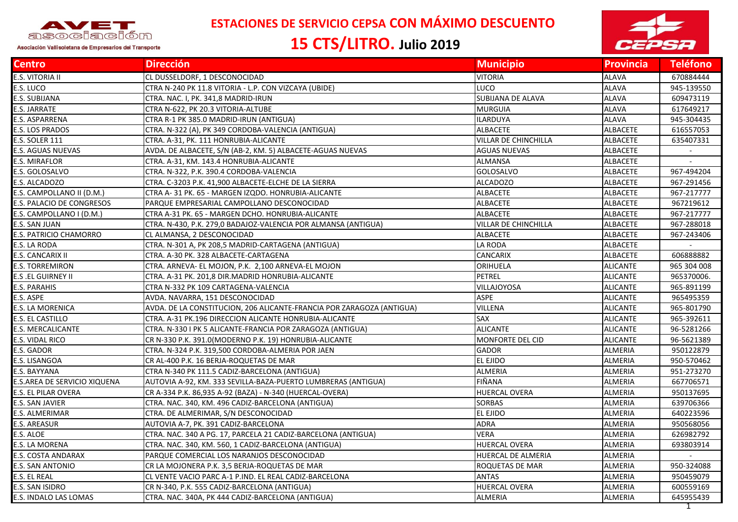

## **ESTACIONES DE SERVICIO CEPSA CON MÁXIMO DESCUENTO**

## **15 CTS/LITRO. Julio 2019**



| <b>Centro</b>                | <b>Dirección</b>                                                      | <b>Municipio</b>     | <b>Provincia</b> | <b>Teléfono</b> |
|------------------------------|-----------------------------------------------------------------------|----------------------|------------------|-----------------|
| E.S. VITORIA II              | CL DUSSELDORF, 1 DESCONOCIDAD                                         | <b>VITORIA</b>       | ALAVA            | 670884444       |
| E.S. LUCO                    | CTRA N-240 PK 11.8 VITORIA - L.P. CON VIZCAYA (UBIDE)                 | LUCO                 | <b>ALAVA</b>     | 945-139550      |
| E.S. SUBIJANA                | CTRA. NAC. I, PK. 341,8 MADRID-IRUN                                   | SUBIJANA DE ALAVA    | <b>ALAVA</b>     | 609473119       |
| E.S. JARRATE                 | CTRA N-622, PK 20.3 VITORIA-ALTUBE                                    | <b>MURGUIA</b>       | <b>ALAVA</b>     | 617649217       |
| E.S. ASPARRENA               | CTRA R-1 PK 385.0 MADRID-IRUN (ANTIGUA)                               | <b>ILARDUYA</b>      | <b>ALAVA</b>     | 945-304435      |
| E.S. LOS PRADOS              | CTRA. N-322 (A), PK 349 CORDOBA-VALENCIA (ANTIGUA)                    | <b>ALBACETE</b>      | ALBACETE         | 616557053       |
| <b>E.S. SOLER 111</b>        | CTRA. A-31, PK. 111 HONRUBIA-ALICANTE                                 | VILLAR DE CHINCHILLA | <b>ALBACETE</b>  | 635407331       |
| E.S. AGUAS NUEVAS            | AVDA. DE ALBACETE, S/N (AB-2, KM. 5) ALBACETE-AGUAS NUEVAS            | <b>AGUAS NUEVAS</b>  | ALBACETE         | $\sim$          |
| E.S. MIRAFLOR                | CTRA. A-31, KM. 143.4 HONRUBIA-ALICANTE                               | ALMANSA              | <b>ALBACETE</b>  |                 |
| E.S. GOLOSALVO               | CTRA. N-322, P.K. 390.4 CORDOBA-VALENCIA                              | GOLOSALVO            | ALBACETE         | 967-494204      |
| E.S. ALCADOZO                | CTRA. C-3203 P.K. 41,900 ALBACETE-ELCHE DE LA SIERRA                  | <b>ALCADOZO</b>      | ALBACETE         | 967-291456      |
| E.S. CAMPOLLANO II (D.M.)    | CTRA A-31 PK. 65 - MARGEN IZQDO. HONRUBIA-ALICANTE                    | <b>ALBACETE</b>      | ALBACETE         | 967-217777      |
| E.S. PALACIO DE CONGRESOS    | PARQUE EMPRESARIAL CAMPOLLANO DESCONOCIDAD                            | ALBACETE             | <b>ALBACETE</b>  | 967219612       |
| E.S. CAMPOLLANO I (D.M.)     | CTRA A-31 PK. 65 - MARGEN DCHO. HONRUBIA-ALICANTE                     | <b>ALBACETE</b>      | <b>ALBACETE</b>  | 967-217777      |
| E.S. SAN JUAN                | CTRA. N-430, P.K. 279,0 BADAJOZ-VALENCIA POR ALMANSA (ANTIGUA)        | VILLAR DE CHINCHILLA | <b>ALBACETE</b>  | 967-288018      |
| E.S. PATRICIO CHAMORRO       | CL ALMANSA, 2 DESCONOCIDAD                                            | <b>ALBACETE</b>      | <b>ALBACETE</b>  | 967-243406      |
| E.S. LA RODA                 | CTRA. N-301 A, PK 208,5 MADRID-CARTAGENA (ANTIGUA)                    | LA RODA              | ALBACETE         |                 |
| E.S. CANCARIX II             | CTRA. A-30 PK. 328 ALBACETE-CARTAGENA                                 | CANCARIX             | <b>ALBACETE</b>  | 606888882       |
| <b>E.S. TORREMIRON</b>       | CTRA. ARNEVA- EL MOJON, P.K. 2,100 ARNEVA-EL MOJON                    | ORIHUELA             | <b>ALICANTE</b>  | 965 304 008     |
| <b>E.S.EL GUIRNEY II</b>     | CTRA. A-31 PK. 201,8 DIR.MADRID HONRUBIA-ALICANTE                     | <b>PETREL</b>        | <b>ALICANTE</b>  | 965370006.      |
| E.S. PARAHIS                 | CTRA N-332 PK 109 CARTAGENA-VALENCIA                                  | VILLAJOYOSA          | <b>ALICANTE</b>  | 965-891199      |
| E.S. ASPE                    | AVDA. NAVARRA, 151 DESCONOCIDAD                                       | <b>ASPE</b>          | <b>ALICANTE</b>  | 965495359       |
| E.S. LA MORENICA             | AVDA. DE LA CONSTITUCION, 206 ALICANTE-FRANCIA POR ZARAGOZA (ANTIGUA) | <b>VILLENA</b>       | <b>ALICANTE</b>  | 965-801790      |
| E.S. EL CASTILLO             | CTRA. A-31 PK.196 DIRECCION ALICANTE HONRUBIA-ALICANTE                | <b>SAX</b>           | <b>ALICANTE</b>  | 965-392611      |
| E.S. MERCALICANTE            | CTRA. N-330 I PK 5 ALICANTE-FRANCIA POR ZARAGOZA (ANTIGUA)            | <b>ALICANTE</b>      | <b>ALICANTE</b>  | 96-5281266      |
| E.S. VIDAL RICO              | CR N-330 P.K. 391.0(MODERNO P.K. 19) HONRUBIA-ALICANTE                | MONFORTE DEL CID     | <b>ALICANTE</b>  | 96-5621389      |
| E.S. GADOR                   | CTRA. N-324 P.K. 319,500 CORDOBA-ALMERIA POR JAEN                     | GADOR                | <b>ALMERIA</b>   | 950122879       |
| E.S. LISANGOA                | CR AL-400 P.K. 16 BERJA-ROQUETAS DE MAR                               | EL EJIDO             | ALMERIA          | 950-570462      |
| E.S. BAYYANA                 | CTRA N-340 PK 111.5 CADIZ-BARCELONA (ANTIGUA)                         | ALMERIA              | ALMERIA          | 951-273270      |
| E.S.AREA DE SERVICIO XIQUENA | AUTOVIA A-92, KM. 333 SEVILLA-BAZA-PUERTO LUMBRERAS (ANTIGUA)         | FIÑANA               | <b>ALMERIA</b>   | 667706571       |
| E.S. EL PILAR OVERA          | CR A-334 P.K. 86,935 A-92 (BAZA) - N-340 (HUERCAL-OVERA)              | <b>HUERCAL OVERA</b> | <b>ALMERIA</b>   | 950137695       |
| E.S. SAN JAVIER              | CTRA. NAC. 340, KM. 496 CADIZ-BARCELONA (ANTIGUA)                     | SORBAS               | <b>ALMERIA</b>   | 639706366       |
| E.S. ALMERIMAR               | CTRA. DE ALMERIMAR, S/N DESCONOCIDAD                                  | EL EJIDO             | ALMERIA          | 640223596       |
| E.S. AREASUR                 | AUTOVIA A-7, PK. 391 CADIZ-BARCELONA                                  | ADRA                 | <b>ALMERIA</b>   | 950568056       |
| E.S. ALOE                    | CTRA. NAC. 340 A PG. 17, PARCELA 21 CADIZ-BARCELONA (ANTIGUA)         | <b>VERA</b>          | <b>ALMERIA</b>   | 626982792       |
| E.S. LA MORENA               | CTRA. NAC. 340, KM. 560, 1 CADIZ-BARCELONA (ANTIGUA)                  | <b>HUERCAL OVERA</b> | <b>ALMERIA</b>   | 693803914       |
| E.S. COSTA ANDARAX           | PARQUE COMERCIAL LOS NARANJOS DESCONOCIDAD                            | HUERCAL DE ALMERIA   | ALMERIA          | $\sim$          |
| E.S. SAN ANTONIO             | CR LA MOJONERA P.K. 3,5 BERJA-ROQUETAS DE MAR                         | ROQUETAS DE MAR      | <b>ALMERIA</b>   | 950-324088      |
| E.S. EL REAL                 | CL VENTE VACIO PARC A-1 P.IND. EL REAL CADIZ-BARCELONA                | <b>ANTAS</b>         | ALMERIA          | 950459079       |
| E.S. SAN ISIDRO              | CR N-340, P.K. 555 CADIZ-BARCELONA (ANTIGUA)                          | HUERCAL OVERA        | ALMERIA          | 600559169       |
| E.S. INDALO LAS LOMAS        | CTRA. NAC. 340A, PK 444 CADIZ-BARCELONA (ANTIGUA)                     | ALMERIA              | ALMERIA          | 645955439       |
|                              |                                                                       |                      |                  |                 |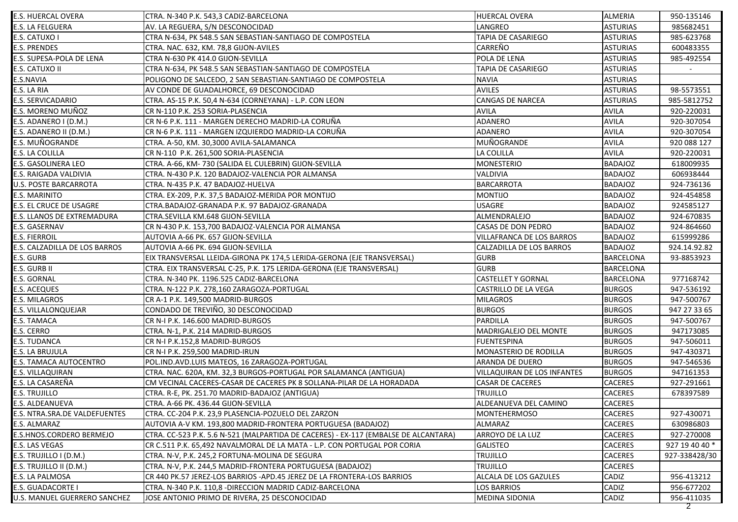| <b>E.S. HUERCAL OVERA</b>         | CTRA. N-340 P.K. 543,3 CADIZ-BARCELONA                                              | <b>HUERCAL OVERA</b>        | <b>ALMERIA</b>   | 950-135146     |
|-----------------------------------|-------------------------------------------------------------------------------------|-----------------------------|------------------|----------------|
| E.S. LA FELGUERA                  | AV. LA REGUERA, S/N DESCONOCIDAD                                                    | LANGREO                     | <b>ASTURIAS</b>  | 985682451      |
| E.S. CATUXO I                     | CTRA N-634, PK 548.5 SAN SEBASTIAN-SANTIAGO DE COMPOSTELA                           | TAPIA DE CASARIEGO          | <b>ASTURIAS</b>  | 985-623768     |
| <b>E.S. PRENDES</b>               | CTRA. NAC. 632, KM. 78,8 GIJON-AVILES                                               | CARREÑO                     | <b>ASTURIAS</b>  | 600483355      |
| E.S. SUPESA-POLA DE LENA          | CTRA N-630 PK 414.0 GIJON-SEVILLA                                                   | POLA DE LENA                | <b>ASTURIAS</b>  | 985-492554     |
| E.S. CATUXO II                    | CTRA N-634, PK 548.5 SAN SEBASTIAN-SANTIAGO DE COMPOSTELA                           | TAPIA DE CASARIEGO          | <b>ASTURIAS</b>  |                |
| E.S.NAVIA                         | POLIGONO DE SALCEDO, 2 SAN SEBASTIAN-SANTIAGO DE COMPOSTELA                         | <b>NAVIA</b>                | <b>ASTURIAS</b>  |                |
| E.S. LA RIA                       | AV CONDE DE GUADALHORCE, 69 DESCONOCIDAD                                            | <b>AVILES</b>               | <b>ASTURIAS</b>  | 98-5573551     |
| E.S. SERVICADARIO                 | CTRA. AS-15 P.K. 50,4 N-634 (CORNEYANA) - L.P. CON LEON                             | <b>CANGAS DE NARCEA</b>     | <b>ASTURIAS</b>  | 985-5812752    |
| E.S. MORENO MUÑOZ                 | CR N-110 P.K. 253 SORIA-PLASENCIA                                                   | <b>AVILA</b>                | <b>AVILA</b>     | 920-220031     |
| E.S. ADANERO I (D.M.)             | CR N-6 P.K. 111 - MARGEN DERECHO MADRID-LA CORUÑA                                   | ADANERO                     | <b>AVILA</b>     | 920-307054     |
| E.S. ADANERO II (D.M.)            | CR N-6 P.K. 111 - MARGEN IZQUIERDO MADRID-LA CORUÑA                                 | ADANERO                     | <b>AVILA</b>     | 920-307054     |
| E.S. MUÑOGRANDE                   | CTRA. A-50, KM. 30,3000 AVILA-SALAMANCA                                             | MUÑOGRANDE                  | <b>AVILA</b>     | 920 088 127    |
| <b>E.S. LA COLILLA</b>            | CR N-110 P.K. 261,500 SORIA-PLASENCIA                                               | LA COLILLA                  | <b>AVILA</b>     | 920-220031     |
| <b>E.S. GASOLINERA LEO</b>        | CTRA. A-66, KM-730 (SALIDA EL CULEBRIN) GIJON-SEVILLA                               | MONESTERIO                  | <b>BADAJOZ</b>   | 618009935      |
| E.S. RAIGADA VALDIVIA             | CTRA. N-430 P.K. 120 BADAJOZ-VALENCIA POR ALMANSA                                   | <b>VALDIVIA</b>             | <b>BADAJOZ</b>   | 606938444      |
| U.S. POSTE BARCARROTA             | CTRA. N-435 P.K. 47 BADAJOZ-HUELVA                                                  | <b>BARCARROTA</b>           | <b>BADAJOZ</b>   | 924-736136     |
| E.S. MARINITO                     | CTRA. EX-209, P.K. 37,5 BADAJOZ-MERIDA POR MONTIJO                                  | <b>MONTIJO</b>              | <b>BADAJOZ</b>   | 924-454858     |
| E.S. EL CRUCE DE USAGRE           | CTRA.BADAJOZ-GRANADA P.K. 97 BADAJOZ-GRANADA                                        | <b>USAGRE</b>               | <b>BADAJOZ</b>   | 924585127      |
| <b>E.S. LLANOS DE EXTREMADURA</b> | CTRA.SEVILLA KM.648 GIJON-SEVILLA                                                   | ALMENDRALEJO                | <b>BADAJOZ</b>   | 924-670835     |
| <b>E.S. GASERNAV</b>              | CR N-430 P.K. 153,700 BADAJOZ-VALENCIA POR ALMANSA                                  | CASAS DE DON PEDRO          | <b>BADAJOZ</b>   | 924-864660     |
| <b>E.S. FIERROIL</b>              | AUTOVIA A-66 PK. 657 GIJON-SEVILLA                                                  | VILLAFRANCA DE LOS BARROS   | <b>BADAJOZ</b>   | 615999286      |
| E.S. CALZADILLA DE LOS BARROS     | AUTOVIA A-66 PK. 694 GIJON-SEVILLA                                                  | CALZADILLA DE LOS BARROS    | <b>BADAJOZ</b>   | 924.14.92.82   |
| E.S. GURB                         | EIX TRANSVERSAL LLEIDA-GIRONA PK 174,5 LERIDA-GERONA (EJE TRANSVERSAL)              | <b>GURB</b>                 | <b>BARCELONA</b> | 93-8853923     |
| E.S. GURB II                      | CTRA. EIX TRANSVERSAL C-25, P.K. 175 LERIDA-GERONA (EJE TRANSVERSAL)                | <b>GURB</b>                 | <b>BARCELONA</b> |                |
| E.S. GORNAL                       | CTRA. N-340 PK. 1196.525 CADIZ-BARCELONA                                            | <b>CASTELLET Y GORNAL</b>   | <b>BARCELONA</b> | 977168742      |
| <b>E.S. ACEQUES</b>               | CTRA. N-122 P.K. 278,160 ZARAGOZA-PORTUGAL                                          | CASTRILLO DE LA VEGA        | <b>BURGOS</b>    | 947-536192     |
| <b>E.S. MILAGROS</b>              | CR A-1 P.K. 149,500 MADRID-BURGOS                                                   | <b>MILAGROS</b>             | <b>BURGOS</b>    | 947-500767     |
| E.S. VILLALONQUEJAR               | CONDADO DE TREVIÑO, 30 DESCONOCIDAD                                                 | <b>BURGOS</b>               | <b>BURGOS</b>    | 947 27 33 65   |
| E.S. TAMACA                       | CR N-I P.K. 146.600 MADRID-BURGOS                                                   | PARDILLA                    | <b>BURGOS</b>    | 947-500767     |
| E.S. CERRO                        | CTRA. N-1, P.K. 214 MADRID-BURGOS                                                   | MADRIGALEJO DEL MONTE       | <b>BURGOS</b>    | 947173085      |
| <b>E.S. TUDANCA</b>               | CR N-I P.K.152,8 MADRID-BURGOS                                                      | <b>FUENTESPINA</b>          | <b>BURGOS</b>    | 947-506011     |
| E.S. LA BRUJULA                   | CR N-I P.K. 259,500 MADRID-IRUN                                                     | MONASTERIO DE RODILLA       | <b>BURGOS</b>    | 947-430371     |
| <b>E.S. TAMACA AUTOCENTRO</b>     | POL.IND.AVD.LUIS MATEOS, 16 ZARAGOZA-PORTUGAL                                       | <b>ARANDA DE DUERO</b>      | <b>BURGOS</b>    | 947-546536     |
| E.S. VILLAQUIRAN                  | CTRA. NAC. 620A, KM. 32,3 BURGOS-PORTUGAL POR SALAMANCA (ANTIGUA)                   | VILLAQUIRAN DE LOS INFANTES | <b>BURGOS</b>    | 947161353      |
| E.S. LA CASAREÑA                  | CM VECINAL CACERES-CASAR DE CACERES PK 8 SOLLANA-PILAR DE LA HORADADA               | <b>CASAR DE CACERES</b>     | <b>CACERES</b>   | 927-291661     |
| <b>E.S. TRUJILLO</b>              | CTRA. R-E, PK. 251.70 MADRID-BADAJOZ (ANTIGUA)                                      | <b>TRUJILLO</b>             | <b>CACERES</b>   | 678397589      |
| E.S. ALDEANUEVA                   | CTRA. A-66 PK. 436.44 GIJON-SEVILLA                                                 | ALDEANUEVA DEL CAMINO       | CACERES          |                |
| E.S. NTRA.SRA.DE VALDEFUENTES     | CTRA. CC-204 P.K. 23,9 PLASENCIA-POZUELO DEL ZARZON                                 | <b>MONTEHERMOSO</b>         | <b>CACERES</b>   | 927-430071     |
| E.S. ALMARAZ                      | AUTOVIA A-V KM. 193,800 MADRID-FRONTERA PORTUGUESA (BADAJOZ)                        | ALMARAZ                     | <b>CACERES</b>   | 630986803      |
| E.S.HNOS.CORDERO BERMEJO          | CTRA. CC-523 P.K. 5.6 N-521 (MALPARTIDA DE CACERES) - EX-117 (EMBALSE DE ALCANTARA) | ARROYO DE LA LUZ            | <b>CACERES</b>   | 927-270008     |
| E.S. LAS VEGAS                    | CR C.511 P.K. 65,492 NAVALMORAL DE LA MATA - L.P. CON PORTUGAL POR CORIA            | <b>GALISTEO</b>             | <b>CACERES</b>   | 927 19 40 40 * |
| E.S. TRUJILLO I (D.M.)            | CTRA. N-V, P.K. 245,2 FORTUNA-MOLINA DE SEGURA                                      | <b>TRUJILLO</b>             | <b>CACERES</b>   | 927-338428/30  |
| E.S. TRUJILLO II (D.M.)           | CTRA. N-V, P.K. 244,5 MADRID-FRONTERA PORTUGUESA (BADAJOZ)                          | <b>TRUJILLO</b>             | <b>CACERES</b>   |                |
| E.S. LA PALMOSA                   | CR 440 PK.57 JEREZ-LOS BARRIOS - APD.45 JEREZ DE LA FRONTERA-LOS BARRIOS            | ALCALA DE LOS GAZULES       | CADIZ            | 956-413212     |
| <b>E.S. GUADACORTE I</b>          | CTRA. N-340 P.K. 110,8 - DIRECCION MADRID CADIZ-BARCELONA                           | LOS BARRIOS                 | CADIZ            | 956-677202     |
| U.S. MANUEL GUERRERO SANCHEZ      | JOSE ANTONIO PRIMO DE RIVERA, 25 DESCONOCIDAD                                       | <b>MEDINA SIDONIA</b>       | CADIZ            | 956-411035     |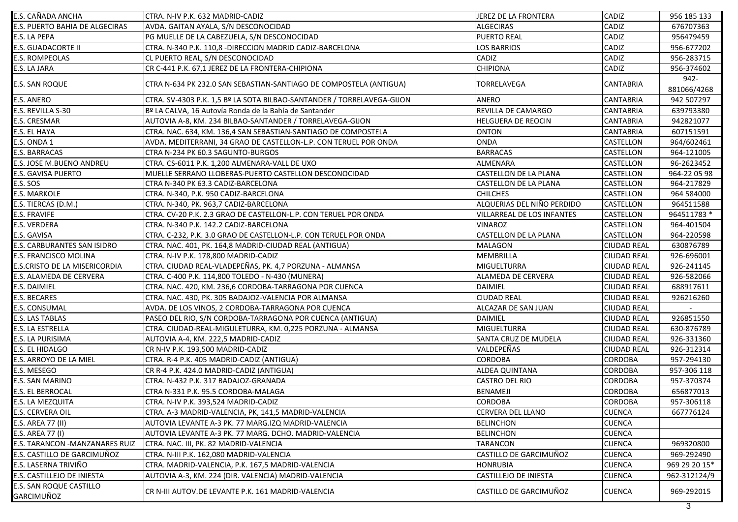| E.S. CAÑADA ANCHA                            | CTRA. N-IV P.K. 632 MADRID-CADIZ                                       | JEREZ DE LA FRONTERA              | CADIZ              | 956 185 133         |
|----------------------------------------------|------------------------------------------------------------------------|-----------------------------------|--------------------|---------------------|
| <b>E.S. PUERTO BAHIA DE ALGECIRAS</b>        | AVDA. GAITAN AYALA, S/N DESCONOCIDAD                                   | <b>ALGECIRAS</b>                  | CADIZ              | 676707363           |
| E.S. LA PEPA                                 | PG MUELLE DE LA CABEZUELA, S/N DESCONOCIDAD                            | <b>PUERTO REAL</b>                | CADIZ              | 956479459           |
| <b>E.S. GUADACORTE II</b>                    | CTRA. N-340 P.K. 110,8 - DIRECCION MADRID CADIZ-BARCELONA              | LOS BARRIOS                       | CADIZ              | 956-677202          |
| <b>E.S. ROMPEOLAS</b>                        | CL PUERTO REAL, S/N DESCONOCIDAD                                       | CADIZ                             | CADIZ              | 956-283715          |
| E.S. LA JARA                                 | CR C-441 P.K. 67,1 JEREZ DE LA FRONTERA-CHIPIONA                       | <b>CHIPIONA</b>                   | CADIZ              | 956-374602          |
| <b>E.S. SAN ROQUE</b>                        | CTRA N-634 PK 232.0 SAN SEBASTIAN-SANTIAGO DE COMPOSTELA (ANTIGUA)     | TORRELAVEGA                       | <b>CANTABRIA</b>   | 942-<br>881066/4268 |
| <b>E.S. ANERO</b>                            | CTRA. SV-4303 P.K. 1,5 Bº LA SOTA BILBAO-SANTANDER / TORRELAVEGA-GIJON | <b>ANERO</b>                      | <b>CANTABRIA</b>   | 942 507297          |
| E.S. REVILLA S-30                            | Bº LA CALVA, 16 Autovía Ronda de la Bahía de Santander                 | REVILLA DE CAMARGO                | <b>CANTABRIA</b>   | 639793380           |
| <b>E.S. CRESMAR</b>                          | AUTOVIA A-8, KM. 234 BILBAO-SANTANDER / TORRELAVEGA-GIJON              | HELGUERA DE REOCIN                | <b>CANTABRIA</b>   | 942821077           |
| E.S. EL HAYA                                 | CTRA. NAC. 634, KM. 136,4 SAN SEBASTIAN-SANTIAGO DE COMPOSTELA         | <b>ONTON</b>                      | <b>CANTABRIA</b>   | 607151591           |
| E.S. ONDA 1                                  | AVDA. MEDITERRANI, 34 GRAO DE CASTELLON-L.P. CON TERUEL POR ONDA       | <b>ONDA</b>                       | CASTELLON          | 964/602461          |
| E.S. BARRACAS                                | CTRA N-234 PK 60.3 SAGUNTO-BURGOS                                      | <b>BARRACAS</b>                   | CASTELLON          | 964-121005          |
| <b>E.S. JOSE M.BUENO ANDREU</b>              | CTRA. CS-6011 P.K. 1,200 ALMENARA-VALL DE UXO                          | ALMENARA                          | CASTELLON          | 96-2623452          |
| <b>E.S. GAVISA PUERTO</b>                    | MUELLE SERRANO LLOBERAS-PUERTO CASTELLON DESCONOCIDAD                  | <b>CASTELLON DE LA PLANA</b>      | CASTELLON          | 964-22 05 98        |
| <b>E.S. SOS</b>                              | CTRA N-340 PK 63.3 CADIZ-BARCELONA                                     | <b>CASTELLON DE LA PLANA</b>      | CASTELLON          | 964-217829          |
| <b>E.S. MARKOLE</b>                          | CTRA, N-340, P.K. 950 CADIZ-BARCELONA                                  | <b>CHILCHES</b>                   | CASTELLON          | 964 584000          |
| E.S. TIERCAS (D.M.)                          | CTRA. N-340, PK. 963,7 CADIZ-BARCELONA                                 | ALQUERIAS DEL NIÑO PERDIDO        | <b>CASTELLON</b>   | 964511588           |
| <b>E.S. FRAVIFE</b>                          | CTRA. CV-20 P.K. 2.3 GRAO DE CASTELLON-L.P. CON TERUEL POR ONDA        | <b>VILLARREAL DE LOS INFANTES</b> | <b>CASTELLON</b>   | 964511783 *         |
| <b>E.S. VERDERA</b>                          | CTRA. N-340 P.K. 142.2 CADIZ-BARCELONA                                 | <b>VINAROZ</b>                    | <b>CASTELLON</b>   | 964-401504          |
| E.S. GAVISA                                  | CTRA. C-232, P.K. 3.0 GRAO DE CASTELLON-L.P. CON TERUEL POR ONDA       | <b>CASTELLON DE LA PLANA</b>      | <b>CASTELLON</b>   | 964-220598          |
| E.S. CARBURANTES SAN ISIDRO                  | CTRA. NAC. 401, PK. 164,8 MADRID-CIUDAD REAL (ANTIGUA)                 | <b>MALAGON</b>                    | <b>CIUDAD REAL</b> | 630876789           |
| E.S. FRANCISCO MOLINA                        | CTRA. N-IV P.K. 178,800 MADRID-CADIZ                                   | <b>MEMBRILLA</b>                  | <b>CIUDAD REAL</b> | 926-696001          |
| E.S.CRISTO DE LA MISERICORDIA                | CTRA. CIUDAD REAL-VLADEPEÑAS, PK. 4,7 PORZUNA - ALMANSA                | <b>MIGUELTURRA</b>                | <b>CIUDAD REAL</b> | 926-241145          |
| E.S. ALAMEDA DE CERVERA                      | CTRA. C-400 P.K. 114,800 TOLEDO - N-430 (MUNERA)                       | <b>ALAMEDA DE CERVERA</b>         | <b>CIUDAD REAL</b> | 926-582066          |
| E.S. DAIMIEL                                 | CTRA. NAC. 420, KM. 236,6 CORDOBA-TARRAGONA POR CUENCA                 | <b>DAIMIEL</b>                    | <b>CIUDAD REAL</b> | 688917611           |
| <b>E.S. BECARES</b>                          | CTRA. NAC. 430, PK. 305 BADAJOZ-VALENCIA POR ALMANSA                   | <b>CIUDAD REAL</b>                | <b>CIUDAD REAL</b> | 926216260           |
| <b>E.S. CONSUMAL</b>                         | AVDA. DE LOS VINOS, 2 CORDOBA-TARRAGONA POR CUENCA                     | ALCAZAR DE SAN JUAN               | <b>CIUDAD REAL</b> |                     |
| <b>E.S. LAS TABLAS</b>                       | PASEO DEL RIO, S/N CORDOBA-TARRAGONA POR CUENCA (ANTIGUA)              | <b>DAIMIEL</b>                    | <b>CIUDAD REAL</b> | 926851550           |
| E.S. LA ESTRELLA                             | CTRA. CIUDAD-REAL-MIGULETURRA, KM. 0,225 PORZUNA - ALMANSA             | <b>MIGUELTURRA</b>                | <b>CIUDAD REAL</b> | 630-876789          |
| <b>E.S. LA PURISIMA</b>                      | AUTOVIA A-4, KM. 222,5 MADRID-CADIZ                                    | SANTA CRUZ DE MUDELA              | <b>CIUDAD REAL</b> | 926-331360          |
| E.S. EL HIDALGO                              | CR N-IV P.K. 193,500 MADRID-CADIZ                                      | VALDEPEÑAS                        | <b>CIUDAD REAL</b> | 926-312314          |
| <b>E.S. ARROYO DE LA MIEL</b>                | CTRA. R-4 P.K. 405 MADRID-CADIZ (ANTIGUA)                              | <b>CORDOBA</b>                    | <b>CORDOBA</b>     | 957-294130          |
| E.S. MESEGO                                  | CR R-4 P.K. 424.0 MADRID-CADIZ (ANTIGUA)                               | ALDEA QUINTANA                    | <b>CORDOBA</b>     | 957-306 118         |
| E.S. SAN MARINO                              | CTRA. N-432 P.K. 317 BADAJOZ-GRANADA                                   | <b>CASTRO DEL RIO</b>             | <b>CORDOBA</b>     | 957-370374          |
| <b>E.S. EL BERROCAL</b>                      | CTRA N-331 P.K. 95.5 CORDOBA-MALAGA                                    | <b>BENAMEJI</b>                   | <b>CORDOBA</b>     | 656877013           |
| <b>E.S. LA MEZQUITA</b>                      | CTRA. N-IV P.K. 393,524 MADRID-CADIZ                                   | <b>CORDOBA</b>                    | <b>CORDOBA</b>     | 957-306118          |
| E.S. CERVERA OIL                             | CTRA. A-3 MADRID-VALENCIA, PK, 141,5 MADRID-VALENCIA                   | <b>CERVERA DEL LLANO</b>          | <b>CUENCA</b>      | 667776124           |
| E.S. AREA 77 (II)                            | AUTOVIA LEVANTE A-3 PK. 77 MARG.IZQ MADRID-VALENCIA                    | <b>BELINCHON</b>                  | <b>CUENCA</b>      |                     |
| E.S. AREA 77 (I)                             | AUTOVIA LEVANTE A-3 PK. 77 MARG. DCHO. MADRID-VALENCIA                 | <b>BELINCHON</b>                  | <b>CUENCA</b>      |                     |
| E.S. TARANCON - MANZANARES RUIZ              | CTRA. NAC. III, PK. 82 MADRID-VALENCIA                                 | <b>TARANCON</b>                   | <b>CUENCA</b>      | 969320800           |
| E.S. CASTILLO DE GARCIMUÑOZ                  | CTRA. N-III P.K. 162,080 MADRID-VALENCIA                               | CASTILLO DE GARCIMUÑOZ            | <b>CUENCA</b>      | 969-292490          |
| E.S. LASERNA TRIVIÑO                         | CTRA. MADRID-VALENCIA, P.K. 167,5 MADRID-VALENCIA                      | <b>HONRUBIA</b>                   | <b>CUENCA</b>      | 969 29 20 15*       |
| E.S. CASTILLEJO DE INIESTA                   | AUTOVIA A-3, KM. 224 (DIR. VALENCIA) MADRID-VALENCIA                   | CASTILLEJO DE INIESTA             | <b>CUENCA</b>      | 962-312124/9        |
| <b>E.S. SAN ROQUE CASTILLO</b><br>GARCIMUÑOZ | CR N-III AUTOV.DE LEVANTE P.K. 161 MADRID-VALENCIA                     | CASTILLO DE GARCIMUÑOZ            | <b>CUENCA</b>      | 969-292015          |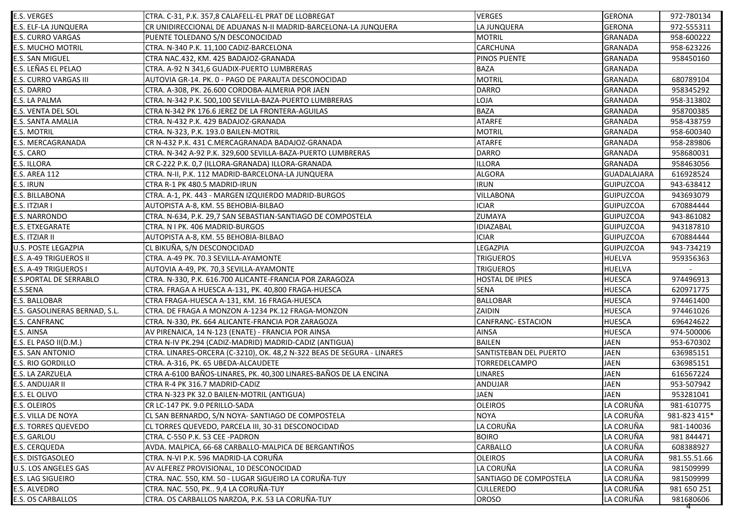| <b>E.S. VERGES</b>            | CTRA. C-31, P.K. 357,8 CALAFELL-EL PRAT DE LLOBREGAT                   | <b>VERGES</b>             | <b>GERONA</b>      | 972-780134   |
|-------------------------------|------------------------------------------------------------------------|---------------------------|--------------------|--------------|
| E.S. ELF-LA JUNQUERA          | CR UNIDIRECCIONAL DE ADUANAS N-II MADRID-BARCELONA-LA JUNQUERA         | LA JUNQUERA               | <b>GERONA</b>      | 972-555311   |
| <b>E.S. CURRO VARGAS</b>      | PUENTE TOLEDANO S/N DESCONOCIDAD                                       | <b>MOTRIL</b>             | <b>GRANADA</b>     | 958-600222   |
| <b>E.S. MUCHO MOTRIL</b>      | CTRA. N-340 P.K. 11,100 CADIZ-BARCELONA                                | <b>CARCHUNA</b>           | <b>GRANADA</b>     | 958-623226   |
| E.S. SAN MIGUEL               | CTRA NAC.432, KM. 425 BADAJOZ-GRANADA                                  | PINOS PUENTE              | <b>GRANADA</b>     | 958450160    |
| E.S. LEÑAS EL PELAO           | CTRA. A-92 N 341,6 GUADIX-PUERTO LUMBRERAS                             | <b>BAZA</b>               | <b>GRANADA</b>     |              |
| E.S. CURRO VARGAS III         | AUTOVIA GR-14. PK. 0 - PAGO DE PARAUTA DESCONOCIDAD                    | <b>MOTRIL</b>             | <b>GRANADA</b>     | 680789104    |
| E.S. DARRO                    | CTRA. A-308, PK. 26.600 CORDOBA-ALMERIA POR JAEN                       | <b>DARRO</b>              | <b>GRANADA</b>     | 958345292    |
| E.S. LA PALMA                 | CTRA. N-342 P.K. 500,100 SEVILLA-BAZA-PUERTO LUMBRERAS                 | LOJA                      | <b>GRANADA</b>     | 958-313802   |
| E.S. VENTA DEL SOL            | CTRA N-342 PK 176.6 JEREZ DE LA FRONTERA-AGUILAS                       | <b>BAZA</b>               | <b>GRANADA</b>     | 958700385    |
| E.S. SANTA AMALIA             | CTRA. N-432 P.K. 429 BADAJOZ-GRANADA                                   | <b>ATARFE</b>             | <b>GRANADA</b>     | 958-438759   |
| E.S. MOTRIL                   | CTRA. N-323, P.K. 193.0 BAILEN-MOTRIL                                  | <b>MOTRIL</b>             | <b>GRANADA</b>     | 958-600340   |
| E.S. MERCAGRANADA             | CR N-432 P.K. 431 C.MERCAGRANADA BADAJOZ-GRANADA                       | <b>ATARFE</b>             | <b>GRANADA</b>     | 958-289806   |
| E.S. CARO                     | CTRA. N-342 A-92 P.K. 329,600 SEVILLA-BAZA-PUERTO LUMBRERAS            | <b>DARRO</b>              | <b>GRANADA</b>     | 958680031    |
| E.S. ILLORA                   | CR C-222 P.K. 0,7 (ILLORA-GRANADA) ILLORA-GRANADA                      | <b>ILLORA</b>             | <b>GRANADA</b>     | 958463056    |
| E.S. AREA 112                 | CTRA. N-II, P.K. 112 MADRID-BARCELONA-LA JUNQUERA                      | <b>ALGORA</b>             | <b>GUADALAJARA</b> | 616928524    |
| E.S. IRUN                     | CTRA R-1 PK 480.5 MADRID-IRUN                                          | <b>IRUN</b>               | <b>GUIPUZCOA</b>   | 943-638412   |
| E.S. BILLABONA                | CTRA. A-1, PK. 443 - MARGEN IZQUIERDO MADRID-BURGOS                    | VILLABONA                 | <b>GUIPUZCOA</b>   | 943693079    |
| E.S. ITZIAR I                 | AUTOPISTA A-8, KM. 55 BEHOBIA-BILBAO                                   | <b>ICIAR</b>              | <b>GUIPUZCOA</b>   | 670884444    |
| E.S. NARRONDO                 | CTRA. N-634, P.K. 29,7 SAN SEBASTIAN-SANTIAGO DE COMPOSTELA            | ZUMAYA                    | <b>GUIPUZCOA</b>   | 943-861082   |
| E.S. ETXEGARATE               | CTRA. N I PK. 406 MADRID-BURGOS                                        | IDIAZABAL                 | <b>GUIPUZCOA</b>   | 943187810    |
| E.S. ITZIAR II                | AUTOPISTA A-8, KM. 55 BEHOBIA-BILBAO                                   | <b>ICIAR</b>              | <b>GUIPUZCOA</b>   | 670884444    |
| U.S. POSTE LEGAZPIA           | CL BIKUÑA, S/N DESCONOCIDAD                                            | LEGAZPIA                  | <b>GUIPUZCOA</b>   | 943-734219   |
| E.S. A-49 TRIGUEROS II        | CTRA. A-49 PK. 70.3 SEVILLA-AYAMONTE                                   | TRIGUEROS                 | <b>HUELVA</b>      | 959356363    |
| E.S. A-49 TRIGUEROS I         | AUTOVIA A-49, PK. 70,3 SEVILLA-AYAMONTE                                | <b>TRIGUEROS</b>          | HUELVA             |              |
| E.S.PORTAL DE SERRABLO        | CTRA. N-330, P.K. 616.700 ALICANTE-FRANCIA POR ZARAGOZA                | <b>HOSTAL DE IPIES</b>    | HUESCA             | 974496913    |
| E.S.SENA                      | CTRA. FRAGA A HUESCA A-131, PK. 40,800 FRAGA-HUESCA                    | <b>SENA</b>               | HUESCA             | 620971775    |
| E.S. BALLOBAR                 | CTRA FRAGA-HUESCA A-131, KM. 16 FRAGA-HUESCA                           | <b>BALLOBAR</b>           | <b>HUESCA</b>      | 974461400    |
| E.S. GASOLINERAS BERNAD, S.L. | CTRA. DE FRAGA A MONZON A-1234 PK.12 FRAGA-MONZON                      | ZAIDIN                    | <b>HUESCA</b>      | 974461026    |
| E.S. CANFRANC                 | CTRA. N-330, PK. 664 ALICANTE-FRANCIA POR ZARAGOZA                     | <b>CANFRANC- ESTACION</b> | HUESCA             | 696424622    |
| E.S. AINSA                    | AV PIRENAICA, 14 N-123 (ENATE) - FRANCIA POR AINSA                     | AINSA                     | <b>HUESCA</b>      | 974-500006   |
| E.S. EL PASO II(D.M.)         | CTRA N-IV PK.294 (CADIZ-MADRID) MADRID-CADIZ (ANTIGUA)                 | <b>BAILEN</b>             | <b>JAEN</b>        | 953-670302   |
| E.S. SAN ANTONIO              | CTRA. LINARES-ORCERA (C-3210), OK. 48,2 N-322 BEAS DE SEGURA - LINARES | SANTISTEBAN DEL PUERTO    | <b>JAEN</b>        | 636985151    |
| E.S. RIO GORDILLO             | CTRA. A-316, PK. 65 UBEDA-ALCAUDETE                                    | TORREDELCAMPO             | <b>JAEN</b>        | 636985151    |
| E.S. LA ZARZUELA              | CTRA A-6100 BAÑOS-LINARES, PK. 40,300 LINARES-BAÑOS DE LA ENCINA       | <b>LINARES</b>            | <b>JAEN</b>        | 616567224    |
| E.S. ANDUJAR II               | CTRA R-4 PK 316.7 MADRID-CADIZ                                         | ANDUJAR                   | <b>JAEN</b>        | 953-507942   |
| E.S. EL OLIVO                 | CTRA N-323 PK 32.0 BAILEN-MOTRIL (ANTIGUA)                             | <b>JAEN</b>               | <b>JAEN</b>        | 953281041    |
| <b>E.S. OLEIROS</b>           | CR LC-147 PK. 9.0 PERILLO-SADA                                         | <b>OLEIROS</b>            | LA CORUÑA          | 981-610775   |
| E.S. VILLA DE NOYA            | CL SAN BERNARDO, S/N NOYA- SANTIAGO DE COMPOSTELA                      | <b>NOYA</b>               | LA CORUÑA          | 981-823 415* |
| <b>E.S. TORRES QUEVEDO</b>    | CL TORRES QUEVEDO, PARCELA III, 30-31 DESCONOCIDAD                     | LA CORUÑA                 | LA CORUÑA          | 981-140036   |
| E.S. GARLOU                   | CTRA. C-550 P.K. 53 CEE -PADRON                                        | <b>BOIRO</b>              | LA CORUÑA          | 981 844471   |
| <b>E.S. CERQUEDA</b>          | AVDA. MALPICA, 66-68 CARBALLO-MALPICA DE BERGANTIÑOS                   | CARBALLO                  | LA CORUÑA          | 608388927    |
| E.S. DISTGASOLEO              | CTRA. N-VI P.K. 596 MADRID-LA CORUÑA                                   | <b>OLEIROS</b>            | LA CORUÑA          | 981.55.51.66 |
| U.S. LOS ANGELES GAS          | AV ALFEREZ PROVISIONAL, 10 DESCONOCIDAD                                | LA CORUÑA                 | LA CORUÑA          | 981509999    |
| E.S. LAG SIGUEIRO             | CTRA. NAC. 550, KM. 50 - LUGAR SIGUEIRO LA CORUÑA-TUY                  | SANTIAGO DE COMPOSTELA    | LA CORUÑA          | 981509999    |
| E.S. ALVEDRO                  | CTRA. NAC. 550, PK 9,4 LA CORUÑA-TUY                                   | <b>CULLEREDO</b>          | LA CORUÑA          | 981 650 251  |
| <b>E.S. OS CARBALLOS</b>      | CTRA. OS CARBALLOS NARZOA, P.K. 53 LA CORUÑA-TUY                       | <b>OROSO</b>              | LA CORUÑA          | 981680606    |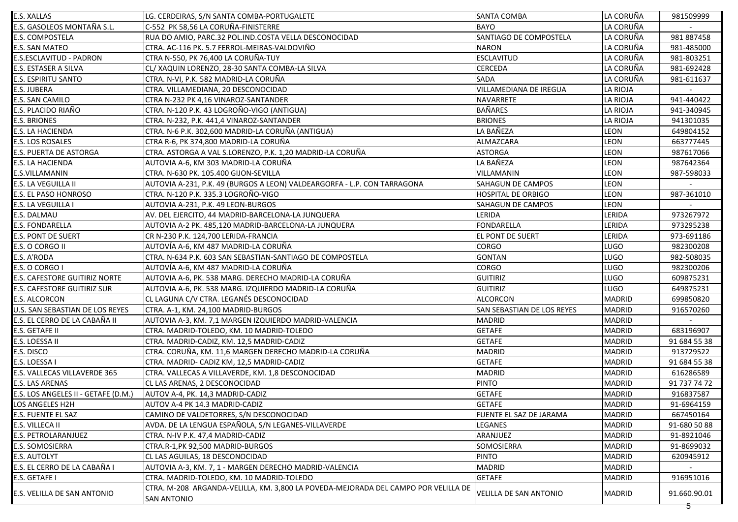| <b>E.S. XALLAS</b>                   | LG. CERDEIRAS, S/N SANTA COMBA-PORTUGALETE                                         | <b>SANTA COMBA</b>            | LA CORUÑA       | 981509999    |
|--------------------------------------|------------------------------------------------------------------------------------|-------------------------------|-----------------|--------------|
| E.S. GASOLEOS MONTAÑA S.L.           | C-552 PK 58,56 LA CORUÑA-FINISTERRE                                                | <b>BAYO</b>                   | LA CORUÑA       |              |
| <b>E.S. COMPOSTELA</b>               | RUA DO AMIO, PARC.32 POL.IND.COSTA VELLA DESCONOCIDAD                              | SANTIAGO DE COMPOSTELA        | LA CORUÑA       | 981887458    |
| E.S. SAN MATEO                       | CTRA. AC-116 PK. 5.7 FERROL-MEIRAS-VALDOVIÑO                                       | <b>NARON</b>                  | LA CORUÑA       | 981-485000   |
| E.S.ESCLAVITUD - PADRON              | CTRA N-550, PK 76,400 LA CORUÑA-TUY                                                | <b>ESCLAVITUD</b>             | LA CORUÑA       | 981-803251   |
| E.S. ESTASER A SILVA                 | CL/ XAQUIN LORENZO, 28-30 SANTA COMBA-LA SILVA                                     | <b>CERCEDA</b>                | LA CORUÑA       | 981-692428   |
| E.S. ESPIRITU SANTO                  | CTRA. N-VI, P.K. 582 MADRID-LA CORUÑA                                              | <b>SADA</b>                   | LA CORUÑA       | 981-611637   |
| E.S. JUBERA                          | CTRA. VILLAMEDIANA, 20 DESCONOCIDAD                                                | <b>VILLAMEDIANA DE IREGUA</b> | <b>LA RIOJA</b> |              |
| E.S. SAN CAMILO                      | CTRA N-232 PK 4,16 VINAROZ-SANTANDER                                               | <b>NAVARRETE</b>              | <b>LA RIOJA</b> | 941-440422   |
| E.S. PLACIDO RIAÑO                   | CTRA. N-120 P.K. 43 LOGROÑO-VIGO (ANTIGUA)                                         | <b>BAÑARES</b>                | <b>LA RIOJA</b> | 941-340945   |
| <b>E.S. BRIONES</b>                  | CTRA. N-232, P.K. 441,4 VINAROZ-SANTANDER                                          | <b>BRIONES</b>                | <b>LA RIOJA</b> | 941301035    |
| E.S. LA HACIENDA                     | CTRA. N-6 P.K. 302,600 MADRID-LA CORUÑA (ANTIGUA)                                  | LA BAÑEZA                     | LEON            | 649804152    |
| E.S. LOS ROSALES                     | CTRA R-6, PK 374,800 MADRID-LA CORUÑA                                              | ALMAZCARA                     | LEON            | 663777445    |
| E.S. PUERTA DE ASTORGA               | CTRA. ASTORGA A VAL S.LORENZO, P.K. 1,20 MADRID-LA CORUÑA                          | <b>ASTORGA</b>                | LEON            | 987617066    |
| E.S. LA HACIENDA                     | AUTOVIA A-6, KM 303 MADRID-LA CORUÑA                                               | LA BAÑEZA                     | <b>LEON</b>     | 987642364    |
| E.S.VILLAMANIN                       | CTRA. N-630 PK. 105.400 GIJON-SEVILLA                                              | VILLAMANIN                    | LEON            | 987-598033   |
| E.S. LA VEGUILLA II                  | AUTOVIA A-231, P.K. 49 (BURGOS A LEON) VALDEARGORFA - L.P. CON TARRAGONA           | SAHAGUN DE CAMPOS             | LEON            |              |
| E.S. EL PASO HONROSO                 | CTRA. N-120 P.K. 335.3 LOGROÑO-VIGO                                                | <b>HOSPITAL DE ORBIGO</b>     | LEON            | 987-361010   |
| <b>E.S. LA VEGUILLA I</b>            | AUTOVIA A-231, P.K. 49 LEON-BURGOS                                                 | <b>SAHAGUN DE CAMPOS</b>      | <b>LEON</b>     |              |
| E.S. DALMAU                          | AV. DEL EJERCITO, 44 MADRID-BARCELONA-LA JUNQUERA                                  | LERIDA                        | LERIDA          | 973267972    |
| <b>E.S. FONDARELLA</b>               | AUTOVIA A-2 PK. 485,120 MADRID-BARCELONA-LA JUNQUERA                               | <b>FONDARELLA</b>             | LERIDA          | 973295238    |
| <b>E.S. PONT DE SUERT</b>            | CR N-230 P.K. 124,700 LERIDA-FRANCIA                                               | <b>EL PONT DE SUERT</b>       | LERIDA          | 973-691186   |
| E.S. O CORGO II                      | AUTOVÍA A-6, KM 487 MADRID-LA CORUÑA                                               | <b>CORGO</b>                  | <b>LUGO</b>     | 982300208    |
| E.S. A'RODA                          | CTRA. N-634 P.K. 603 SAN SEBASTIAN-SANTIAGO DE COMPOSTELA                          | <b>GONTAN</b>                 | <b>LUGO</b>     | 982-508035   |
| E.S. O CORGO I                       | AUTOVÍA A-6, KM 487 MADRID-LA CORUÑA                                               | <b>CORGO</b>                  | <b>LUGO</b>     | 982300206    |
| <b>E.S. CAFESTORE GUITIRIZ NORTE</b> | AUTOVIA A-6, PK. 538 MARG. DERECHO MADRID-LA CORUÑA                                | <b>GUITIRIZ</b>               | <b>LUGO</b>     | 609875231    |
| <b>E.S. CAFESTORE GUITIRIZ SUR</b>   | AUTOVIA A-6, PK. 538 MARG. IZQUIERDO MADRID-LA CORUÑA                              | <b>GUITIRIZ</b>               | <b>LUGO</b>     | 649875231    |
| <b>E.S. ALCORCON</b>                 | CL LAGUNA C/V CTRA. LEGANÉS DESCONOCIDAD                                           | <b>ALCORCON</b>               | <b>MADRID</b>   | 699850820    |
| U.S. SAN SEBASTIAN DE LOS REYES      | CTRA. A-1, KM. 24,100 MADRID-BURGOS                                                | SAN SEBASTIAN DE LOS REYES    | <b>MADRID</b>   | 916570260    |
| E.S. EL CERRO DE LA CABAÑA II        | AUTOVIA A-3, KM. 7,1 MARGEN IZQUIERDO MADRID-VALENCIA                              | <b>MADRID</b>                 | <b>MADRID</b>   |              |
| E.S. GETAFE II                       | CTRA. MADRID-TOLEDO, KM. 10 MADRID-TOLEDO                                          | <b>GETAFE</b>                 | <b>MADRID</b>   | 683196907    |
| E.S. LOESSA II                       | CTRA. MADRID-CADIZ, KM. 12,5 MADRID-CADIZ                                          | <b>GETAFE</b>                 | <b>MADRID</b>   | 91 684 55 38 |
| E.S. DISCO                           | CTRA. CORUÑA, KM. 11,6 MARGEN DERECHO MADRID-LA CORUÑA                             | <b>MADRID</b>                 | <b>MADRID</b>   | 913729522    |
| E.S. LOESSA I                        | CTRA. MADRID- CADIZ KM, 12,5 MADRID-CADIZ                                          | <b>GETAFE</b>                 | <b>MADRID</b>   | 91 684 55 38 |
| E.S. VALLECAS VILLAVERDE 365         | CTRA. VALLECAS A VILLAVERDE, KM. 1,8 DESCONOCIDAD                                  | <b>MADRID</b>                 | <b>MADRID</b>   | 616286589    |
| <b>E.S. LAS ARENAS</b>               | CL LAS ARENAS, 2 DESCONOCIDAD                                                      | <b>PINTO</b>                  | <b>MADRID</b>   | 91 737 74 72 |
| E.S. LOS ANGELES II - GETAFE (D.M.)  | AUTOV A-4, PK. 14,3 MADRID-CADIZ                                                   | <b>GETAFE</b>                 | <b>MADRID</b>   | 916837587    |
| LOS ANGELES H2H                      | AUTOV A-4 PK 14.3 MADRID-CADIZ                                                     | <b>GETAFE</b>                 | <b>MADRID</b>   | 91-6964159   |
| E.S. FUENTE EL SAZ                   | CAMINO DE VALDETORRES, S/N DESCONOCIDAD                                            | FUENTE EL SAZ DE JARAMA       | <b>MADRID</b>   | 667450164    |
| E.S. VILLECA II                      | AVDA. DE LA LENGUA ESPAÑOLA, S/N LEGANES-VILLAVERDE                                | LEGANES                       | <b>MADRID</b>   | 91-680 50 88 |
| E.S. PETROLARANJUEZ                  | CTRA. N-IV P.K. 47,4 MADRID-CADIZ                                                  | ARANJUEZ                      | <b>MADRID</b>   | 91-8921046   |
| E.S. SOMOSIERRA                      | CTRA.R-1, PK 92, 500 MADRID-BURGOS                                                 | SOMOSIERRA                    | <b>MADRID</b>   | 91-8699032   |
| E.S. AUTOLYT                         | CL LAS AGUILAS, 18 DESCONOCIDAD                                                    | <b>PINTO</b>                  | <b>MADRID</b>   | 620945912    |
| E.S. EL CERRO DE LA CABAÑA I         | AUTOVIA A-3, KM. 7, 1 - MARGEN DERECHO MADRID-VALENCIA                             | <b>MADRID</b>                 | <b>MADRID</b>   |              |
| E.S. GETAFE I                        | CTRA. MADRID-TOLEDO, KM. 10 MADRID-TOLEDO                                          | <b>GETAFE</b>                 | <b>MADRID</b>   | 916951016    |
|                                      | CTRA. M-208 ARGANDA-VELILLA, KM. 3,800 LA POVEDA-MEJORADA DEL CAMPO POR VELILLA DE |                               |                 |              |
| E.S. VELILLA DE SAN ANTONIO          | <b>SAN ANTONIO</b>                                                                 | <b>VELILLA DE SAN ANTONIO</b> | <b>MADRID</b>   | 91.660.90.01 |
|                                      |                                                                                    |                               |                 | $5^-$        |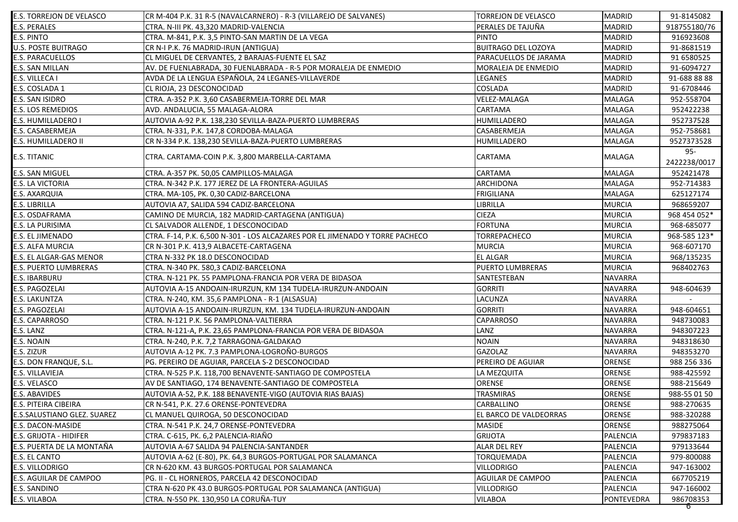| <b>E.S. TORREJON DE VELASCO</b>    | CR M-404 P.K. 31 R-5 (NAVALCARNERO) - R-3 (VILLAREJO DE SALVANES)            | <b>TORREJON DE VELASCO</b> | <b>MADRID</b>     | 91-8145082          |
|------------------------------------|------------------------------------------------------------------------------|----------------------------|-------------------|---------------------|
| <b>E.S. PERALES</b>                | CTRA. N-III PK. 43,320 MADRID-VALENCIA                                       | PERALES DE TAJUÑA          | <b>MADRID</b>     | 918755180/76        |
| E.S. PINTO                         | CTRA. M-841, P.K. 3,5 PINTO-SAN MARTIN DE LA VEGA                            | <b>PINTO</b>               | <b>MADRID</b>     | 916923608           |
| <b>U.S. POSTE BUITRAGO</b>         | CR N-I P.K. 76 MADRID-IRUN (ANTIGUA)                                         | <b>BUITRAGO DEL LOZOYA</b> | <b>MADRID</b>     | 91-8681519          |
| <b>E.S. PARACUELLOS</b>            | CL MIGUEL DE CERVANTES, 2 BARAJAS-FUENTE EL SAZ                              | PARACUELLOS DE JARAMA      | <b>MADRID</b>     | 91 6580525          |
| E.S. SAN MILLAN                    | AV. DE FUENLABRADA, 30 FUENLABRADA - R-5 POR MORALEJA DE ENMEDIO             | MORALEJA DE ENMEDIO        | <b>MADRID</b>     | 91-6094727          |
| <b>E.S. VILLECA I</b>              | AVDA DE LA LENGUA ESPAÑOLA, 24 LEGANES-VILLAVERDE                            | LEGANES                    | <b>MADRID</b>     | 91-688 88 88        |
| E.S. COSLADA 1                     | CL RIOJA, 23 DESCONOCIDAD                                                    | COSLADA                    | <b>MADRID</b>     | 91-6708446          |
| E.S. SAN ISIDRO                    | CTRA. A-352 P.K. 3,60 CASABERMEJA-TORRE DEL MAR                              | <b>VELEZ-MALAGA</b>        | <b>MALAGA</b>     | 952-558704          |
| <b>E.S. LOS REMEDIOS</b>           | AVD. ANDALUCIA, 55 MALAGA-ALORA                                              | <b>CARTAMA</b>             | <b>MALAGA</b>     | 952422238           |
| <b>E.S. HUMILLADERO I</b>          | AUTOVIA A-92 P.K. 138,230 SEVILLA-BAZA-PUERTO LUMBRERAS                      | HUMILLADERO                | <b>MALAGA</b>     | 952737528           |
| E.S. CASABERMEJA                   | CTRA. N-331, P.K. 147,8 CORDOBA-MALAGA                                       | CASABERMEJA                | <b>MALAGA</b>     | 952-758681          |
| E.S. HUMILLADERO II                | CR N-334 P.K. 138,230 SEVILLA-BAZA-PUERTO LUMBRERAS                          | HUMILLADERO                | <b>MALAGA</b>     | 9527373528          |
| E.S. TITANIC                       | CTRA. CARTAMA-COIN P.K. 3,800 MARBELLA-CARTAMA                               | CARTAMA                    | <b>MALAGA</b>     | 95-<br>2422238/0017 |
| <b>E.S. SAN MIGUEL</b>             | CTRA. A-357 PK. 50,05 CAMPILLOS-MALAGA                                       | <b>CARTAMA</b>             | <b>MALAGA</b>     | 952421478           |
| E.S. LA VICTORIA                   | CTRA. N-342 P.K. 177 JEREZ DE LA FRONTERA-AGUILAS                            | <b>ARCHIDONA</b>           | <b>MALAGA</b>     | 952-714383          |
| <b>E.S. AXARQUIA</b>               | CTRA. MA-105, PK. 0,30 CADIZ-BARCELONA                                       | <b>FRIGILIANA</b>          | MALAGA            | 625127174           |
| E.S. LIBRILLA                      | AUTOVIA A7, SALIDA 594 CADIZ-BARCELONA                                       | LIBRILLA                   | <b>MURCIA</b>     | 968659207           |
| E.S. OSDAFRAMA                     | CAMINO DE MURCIA, 182 MADRID-CARTAGENA (ANTIGUA)                             | <b>CIEZA</b>               | <b>MURCIA</b>     | 968 454 052*        |
| E.S. LA PURISIMA                   | CL SALVADOR ALLENDE, 1 DESCONOCIDAD                                          | <b>FORTUNA</b>             | <b>MURCIA</b>     | 968-685077          |
| <b>E.S. EL JIMENADO</b>            | CTRA. F-14, P.K. 6,500 N-301 - LOS ALCAZARES POR EL JIMENADO Y TORRE PACHECO | <b>TORREPACHECO</b>        | <b>MURCIA</b>     | 968-585 123*        |
| <b>E.S. ALFA MURCIA</b>            | CR N-301 P.K. 413,9 ALBACETE-CARTAGENA                                       | <b>MURCIA</b>              | <b>MURCIA</b>     | 968-607170          |
| E.S. EL ALGAR-GAS MENOR            | CTRA N-332 PK 18.0 DESCONOCIDAD                                              | <b>EL ALGAR</b>            | <b>MURCIA</b>     | 968/135235          |
| <b>E.S. PUERTO LUMBRERAS</b>       | CTRA. N-340 PK. 580,3 CADIZ-BARCELONA                                        | <b>PUERTO LUMBRERAS</b>    | <b>MURCIA</b>     | 968402763           |
| <b>E.S. IBARBURU</b>               | CTRA. N-121 PK. 55 PAMPLONA-FRANCIA POR VERA DE BIDASOA                      | SANTESTEBAN                | <b>NAVARRA</b>    |                     |
| <b>E.S. PAGOZELAI</b>              | AUTOVIA A-15 ANDOAIN-IRURZUN, KM 134 TUDELA-IRURZUN-ANDOAIN                  | <b>GORRITI</b>             | <b>NAVARRA</b>    | 948-604639          |
| E.S. LAKUNTZA                      | CTRA. N-240, KM. 35,6 PAMPLONA - R-1 (ALSASUA)                               | LACUNZA                    | <b>NAVARRA</b>    |                     |
| E.S. PAGOZELAI                     | AUTOVIA A-15 ANDOAIN-IRURZUN, KM. 134 TUDELA-IRURZUN-ANDOAIN                 | <b>GORRITI</b>             | <b>NAVARRA</b>    | 948-604651          |
| <b>E.S. CAPARROSO</b>              | CTRA. N-121 P.K. 56 PAMPLONA-VALTIERRA                                       | <b>CAPARROSO</b>           | <b>NAVARRA</b>    | 948730083           |
| E.S. LANZ                          | CTRA. N-121-A, P.K. 23,65 PAMPLONA-FRANCIA POR VERA DE BIDASOA               | LANZ                       | <b>NAVARRA</b>    | 948307223           |
| E.S. NOAIN                         | CTRA. N-240, P.K. 7,2 TARRAGONA-GALDAKAO                                     | <b>NOAIN</b>               | <b>NAVARRA</b>    | 948318630           |
| E.S. ZIZUR                         | AUTOVIA A-12 PK. 7.3 PAMPLONA-LOGROÑO-BURGOS                                 | <b>GAZOLAZ</b>             | <b>NAVARRA</b>    | 948353270           |
| E.S. DON FRANQUE, S.L.             | PG. PEREIRO DE AGUIAR, PARCELA S-2 DESCONOCIDAD                              | PEREIRO DE AGUIAR          | ORENSE            | 988 256 336         |
| E.S. VILLAVIEJA                    | CTRA. N-525 P.K. 118,700 BENAVENTE-SANTIAGO DE COMPOSTELA                    | LA MEZQUITA                | <b>ORENSE</b>     | 988-425592          |
| E.S. VELASCO                       | AV DE SANTIAGO, 174 BENAVENTE-SANTIAGO DE COMPOSTELA                         | ORENSE                     | ORENSE            | 988-215649          |
| E.S. ABAVIDES                      | AUTOVIA A-52, P.K. 188 BENAVENTE-VIGO (AUTOVIA RIAS BAJAS)                   | <b>TRASMIRAS</b>           | ORENSE            | 988-55 01 50        |
| E.S. PITEIRA CIBEIRA               | CR N-541, P.K. 27.6 ORENSE-PONTEVEDRA                                        | CARBALLINO                 | ORENSE            | 988-270635          |
| <b>E.S.SALUSTIANO GLEZ. SUAREZ</b> | CL MANUEL QUIROGA, 50 DESCONOCIDAD                                           | EL BARCO DE VALDEORRAS     | ORENSE            | 988-320288          |
| E.S. DACON-MASIDE                  | CTRA. N-541 P.K. 24,7 ORENSE-PONTEVEDRA                                      | <b>MASIDE</b>              | ORENSE            | 988275064           |
| E.S. GRIJOTA - HIDIFER             | CTRA. C-615, PK. 6,2 PALENCIA-RIAÑO                                          | <b>GRIJOTA</b>             | <b>PALENCIA</b>   | 979837183           |
| E.S. PUERTA DE LA MONTAÑA          | AUTOVIA A-67 SALIDA 94 PALENCIA-SANTANDER                                    | <b>ALAR DEL REY</b>        | <b>PALENCIA</b>   | 979133644           |
| E.S. EL CANTO                      | AUTOVIA A-62 (E-80), PK. 64,3 BURGOS-PORTUGAL POR SALAMANCA                  | <b>TORQUEMADA</b>          | <b>PALENCIA</b>   | 979-800088          |
| E.S. VILLODRIGO                    | CR N-620 KM. 43 BURGOS-PORTUGAL POR SALAMANCA                                | <b>VILLODRIGO</b>          | <b>PALENCIA</b>   | 947-163002          |
| E.S. AGUILAR DE CAMPOO             | PG. II - CL HORNEROS, PARCELA 42 DESCONOCIDAD                                | AGUILAR DE CAMPOO          | <b>PALENCIA</b>   | 667705219           |
| E.S. SANDINO                       | CTRA N-620 PK 43.0 BURGOS-PORTUGAL POR SALAMANCA (ANTIGUA)                   | <b>VILLODRIGO</b>          | <b>PALENCIA</b>   | 947-166002          |
| E.S. VILABOA                       | CTRA. N-550 PK. 130,950 LA CORUÑA-TUY                                        | <b>VILABOA</b>             | <b>PONTEVEDRA</b> | 986708353           |
|                                    |                                                                              |                            |                   | ত                   |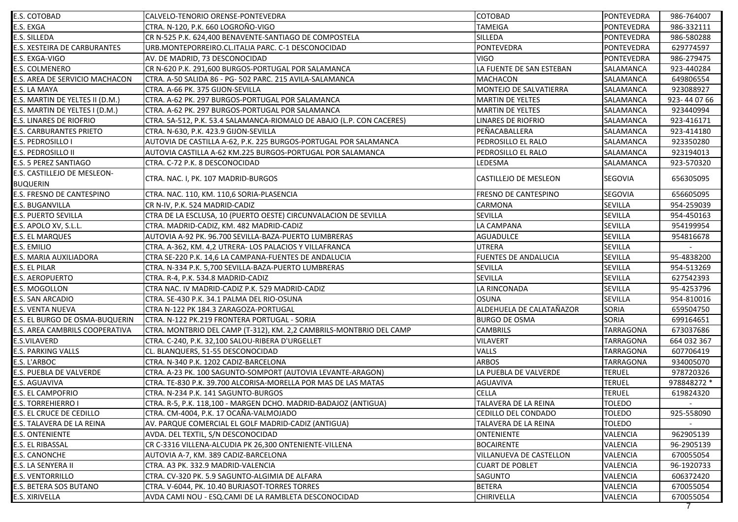| E.S. COTOBAD                        | CALVELO-TENORIO ORENSE-PONTEVEDRA                                     | COTOBAD                     | PONTEVEDRA       | 986-764007  |
|-------------------------------------|-----------------------------------------------------------------------|-----------------------------|------------------|-------------|
| E.S. EXGA                           | CTRA. N-120, P.K. 660 LOGROÑO-VIGO                                    | TAMEIGA                     | PONTEVEDRA       | 986-332111  |
| E.S. SILLEDA                        | CR N-525 P.K. 624,400 BENAVENTE-SANTIAGO DE COMPOSTELA                | SILLEDA                     | PONTEVEDRA       | 986-580288  |
| <b>E.S. XESTEIRA DE CARBURANTES</b> | URB.MONTEPORREIRO.CL.ITALIA PARC. C-1 DESCONOCIDAD                    | <b>PONTEVEDRA</b>           | PONTEVEDRA       | 629774597   |
| E.S. EXGA-VIGO                      | AV. DE MADRID, 73 DESCONOCIDAD                                        | <b>VIGO</b>                 | PONTEVEDRA       | 986-279475  |
| <b>E.S. COLMENERO</b>               | CR N-620 P.K. 291,600 BURGOS-PORTUGAL POR SALAMANCA                   | LA FUENTE DE SAN ESTEBAN    | SALAMANCA        | 923-440284  |
| E.S. AREA DE SERVICIO MACHACON      | CTRA. A-50 SALIDA 86 - PG- 502 PARC. 215 AVILA-SALAMANCA              | <b>MACHACON</b>             | SALAMANCA        | 649806554   |
| E.S. LA MAYA                        | CTRA. A-66 PK. 375 GIJON-SEVILLA                                      | MONTEJO DE SALVATIERRA      | SALAMANCA        | 923088927   |
| E.S. MARTIN DE YELTES II (D.M.)     | CTRA. A-62 PK. 297 BURGOS-PORTUGAL POR SALAMANCA                      | <b>MARTIN DE YELTES</b>     | <b>SALAMANCA</b> | 923-440766  |
| E.S. MARTIN DE YELTES I (D.M.)      | CTRA. A-62 PK. 297 BURGOS-PORTUGAL POR SALAMANCA                      | <b>MARTIN DE YELTES</b>     | SALAMANCA        | 923440994   |
| <b>E.S. LINARES DE RIOFRIO</b>      | CTRA. SA-512, P.K. 53.4 SALAMANCA-RIOMALO DE ABAJO (L.P. CON CACERES) | <b>LINARES DE RIOFRIO</b>   | SALAMANCA        | 923-416171  |
| <b>E.S. CARBURANTES PRIETO</b>      | CTRA. N-630. P.K. 423.9 GIJON-SEVILLA                                 | PEÑACABALLERA               | SALAMANCA        | 923-414180  |
| <b>E.S. PEDROSILLO I</b>            | AUTOVIA DE CASTILLA A-62, P.K. 225 BURGOS-PORTUGAL POR SALAMANCA      | PEDROSILLO EL RALO          | SALAMANCA        | 923350280   |
| <b>E.S. PEDROSILLO II</b>           | AUTOVIA CASTILLA A-62 KM.225 BURGOS-PORTUGAL POR SALAMANCA            | PEDROSILLO EL RALO          | SALAMANCA        | 923194013   |
| <b>E.S. 5 PEREZ SANTIAGO</b>        | CTRA. C-72 P.K. 8 DESCONOCIDAD                                        | LEDESMA                     | SALAMANCA        | 923-570320  |
| E.S. CASTILLEJO DE MESLEON-         |                                                                       |                             |                  |             |
| <b>BUQUERIN</b>                     | CTRA. NAC. I, PK. 107 MADRID-BURGOS                                   | CASTILLEJO DE MESLEON       | <b>SEGOVIA</b>   | 656305095   |
| <b>E.S. FRESNO DE CANTESPINO</b>    | CTRA. NAC. 110, KM. 110,6 SORIA-PLASENCIA                             | FRESNO DE CANTESPINO        | <b>SEGOVIA</b>   | 656605095   |
| <b>E.S. BUGANVILLA</b>              | CR N-IV, P.K. 524 MADRID-CADIZ                                        | CARMONA                     | <b>SEVILLA</b>   | 954-259039  |
| <b>E.S. PUERTO SEVILLA</b>          | CTRA DE LA ESCLUSA, 10 (PUERTO OESTE) CIRCUNVALACION DE SEVILLA       | <b>SEVILLA</b>              | <b>SEVILLA</b>   | 954-450163  |
| E.S. APOLO XV, S.L.L.               | CTRA. MADRID-CADIZ, KM. 482 MADRID-CADIZ                              | LA CAMPANA                  | SEVILLA          | 954199954   |
| <b>E.S. EL MARQUES</b>              | AUTOVIA A-92 PK. 96.700 SEVILLA-BAZA-PUERTO LUMBRERAS                 | <b>AGUADULCE</b>            | <b>SEVILLA</b>   | 954816678   |
| E.S. EMILIO                         | CTRA. A-362, KM. 4,2 UTRERA- LOS PALACIOS Y VILLAFRANCA               | UTRERA                      | <b>SEVILLA</b>   |             |
| E.S. MARIA AUXILIADORA              | CTRA SE-220 P.K. 14,6 LA CAMPANA-FUENTES DE ANDALUCIA                 | <b>FUENTES DE ANDALUCIA</b> | SEVILLA          | 95-4838200  |
| <b>E.S. EL PILAR</b>                | CTRA. N-334 P.K. 5,700 SEVILLA-BAZA-PUERTO LUMBRERAS                  | <b>SEVILLA</b>              | <b>SEVILLA</b>   | 954-513269  |
| <b>E.S. AEROPUERTO</b>              | CTRA. R-4, P.K. 534.8 MADRID-CADIZ                                    | <b>SEVILLA</b>              | <b>SEVILLA</b>   | 627542393   |
| E.S. MOGOLLON                       | CTRA NAC. IV MADRID-CADIZ P.K. 529 MADRID-CADIZ                       | LA RINCONADA                | <b>SEVILLA</b>   | 95-4253796  |
| <b>E.S. SAN ARCADIO</b>             | CTRA. SE-430 P.K. 34.1 PALMA DEL RIO-OSUNA                            | <b>OSUNA</b>                | <b>SEVILLA</b>   | 954-810016  |
| <b>E.S. VENTA NUEVA</b>             | CTRA N-122 PK 184.3 ZARAGOZA-PORTUGAL                                 | ALDEHUELA DE CALATAÑAZOR    | <b>SORIA</b>     | 659504750   |
| E.S. EL BURGO DE OSMA-BUQUERIN      | CTRA. N-122 PK.219 FRONTERA PORTUGAL - SORIA                          | <b>BURGO DE OSMA</b>        | <b>SORIA</b>     | 699164651   |
| E.S. AREA CAMBRILS COOPERATIVA      | CTRA. MONTBRIO DEL CAMP (T-312), KM. 2,2 CAMBRILS-MONTBRIO DEL CAMP   | <b>CAMBRILS</b>             | <b>TARRAGONA</b> | 673037686   |
| E.S.VILAVERD                        | CTRA. C-240, P.K. 32,100 SALOU-RIBERA D'URGELLET                      | <b>VILAVERT</b>             | <b>TARRAGONA</b> | 664 032 367 |
| <b>E.S. PARKING VALLS</b>           | CL. BLANQUERS, 51-55 DESCONOCIDAD                                     | VALLS                       | <b>TARRAGONA</b> | 607706419   |
| E.S. L'ARBOC                        | CTRA. N-340 P.K. 1202 CADIZ-BARCELONA                                 | <b>ARBOS</b>                | <b>TARRAGONA</b> | 934005070   |
| E.S. PUEBLA DE VALVERDE             | CTRA. A-23 PK. 100 SAGUNTO-SOMPORT (AUTOVIA LEVANTE-ARAGON)           | LA PUEBLA DE VALVERDE       | <b>TERUEL</b>    | 978720326   |
| E.S. AGUAVIVA                       | CTRA. TE-830 P.K. 39.700 ALCORISA-MORELLA POR MAS DE LAS MATAS        | <b>AGUAVIVA</b>             | <b>TERUEL</b>    | 978848272 * |
| <b>E.S. EL CAMPOFRIO</b>            | CTRA. N-234 P.K. 141 SAGUNTO-BURGOS                                   | <b>CELLA</b>                | <b>TERUEL</b>    | 619824320   |
| <b>E.S. TORREHIERRO I</b>           | CTRA. R-5, P.K. 118,100 - MARGEN DCHO. MADRID-BADAJOZ (ANTIGUA)       | TALAVERA DE LA REINA        | <b>TOLEDO</b>    |             |
| E.S. EL CRUCE DE CEDILLO            | CTRA. CM-4004, P.K. 17 OCAÑA-VALMOJADO                                | CEDILLO DEL CONDADO         | <b>TOLEDO</b>    | 925-558090  |
| E.S. TALAVERA DE LA REINA           | AV. PARQUE COMERCIAL EL GOLF MADRID-CADIZ (ANTIGUA)                   | TALAVERA DE LA REINA        | <b>TOLEDO</b>    |             |
| <b>E.S. ONTENIENTE</b>              | AVDA. DEL TEXTIL, S/N DESCONOCIDAD                                    | ONTENIENTE                  | VALENCIA         | 962905139   |
| E.S. EL RIBASSAL                    | CR C-3316 VILLENA-ALCUDIA PK 26,300 ONTENIENTE-VILLENA                | <b>BOCAIRENTE</b>           | VALENCIA         | 96-2905139  |
| E.S. CANONCHE                       | AUTOVIA A-7, KM. 389 CADIZ-BARCELONA                                  | VILLANUEVA DE CASTELLON     | VALENCIA         | 670055054   |
| E.S. LA SENYERA II                  | CTRA. A3 PK. 332.9 MADRID-VALENCIA                                    | <b>CUART DE POBLET</b>      | VALENCIA         | 96-1920733  |
| <b>E.S. VENTORRILLO</b>             | CTRA. CV-320 PK. 5.9 SAGUNTO-ALGIMIA DE ALFARA                        | SAGUNTO                     | VALENCIA         | 606372420   |
| E.S. BETERA SOS BUTANO              | CTRA. V-6044, PK. 10.40 BURJASOT-TORRES TORRES                        | <b>BETERA</b>               | VALENCIA         | 670055054   |
| E.S. XIRIVELLA                      | AVDA CAMI NOU - ESQ.CAMI DE LA RAMBLETA DESCONOCIDAD                  | <b>CHIRIVELLA</b>           | VALENCIA         | 670055054   |
|                                     |                                                                       |                             |                  | 7           |